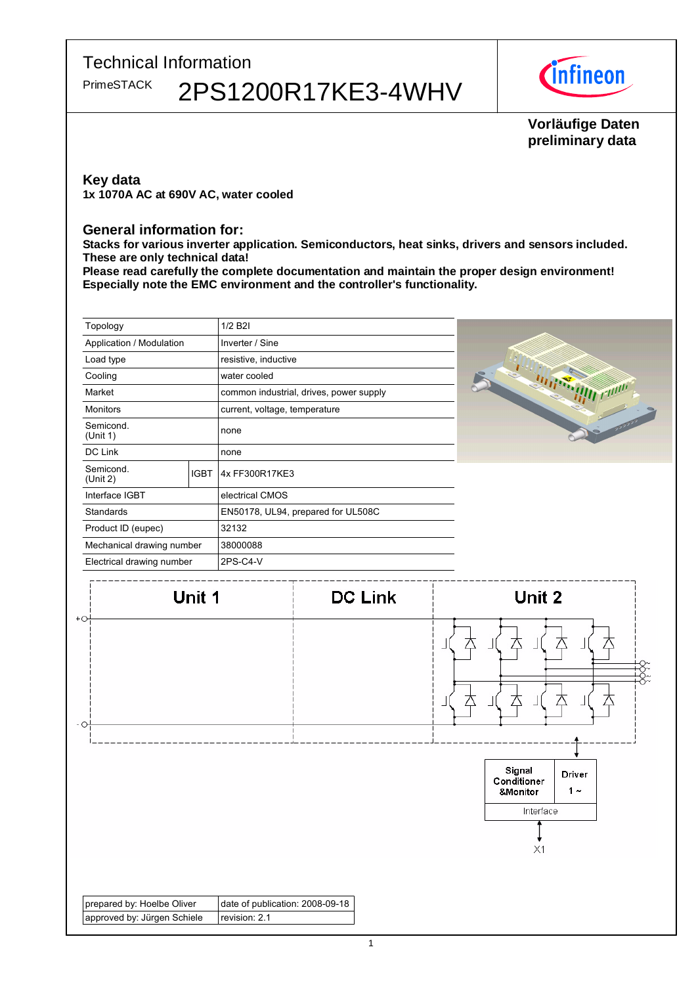

# Vorläufige Daten preliminary data

### **Key data**

1x 1070A AC at 690V AC, water cooled

#### **General information for:**

Stacks for various inverter application. Semiconductors, heat sinks, drivers and sensors included. These are only technical data!

Please read carefully the complete documentation and maintain the proper design environment! Especially note the EMC environment and the controller's functionality.

| Topology                  |             | 1/2 B2I                                 |  |
|---------------------------|-------------|-----------------------------------------|--|
| Application / Modulation  |             | Inverter / Sine                         |  |
| Load type                 |             | resistive, inductive                    |  |
| Cooling                   |             | water cooled                            |  |
| Market                    |             | common industrial, drives, power supply |  |
| <b>Monitors</b>           |             | current, voltage, temperature           |  |
| Semicond.<br>(Unit 1)     |             | none                                    |  |
| DC Link                   |             | none                                    |  |
| Semicond.<br>(Unit 2)     | <b>IGBT</b> | 4x FF300R17KE3                          |  |
| Interface IGBT            |             | electrical CMOS                         |  |
| <b>Standards</b>          |             | EN50178, UL94, prepared for UL508C      |  |
| Product ID (eupec)        |             | 32132                                   |  |
| Mechanical drawing number |             | 38000088                                |  |
| Electrical drawing number |             | 2PS-C4-V                                |  |

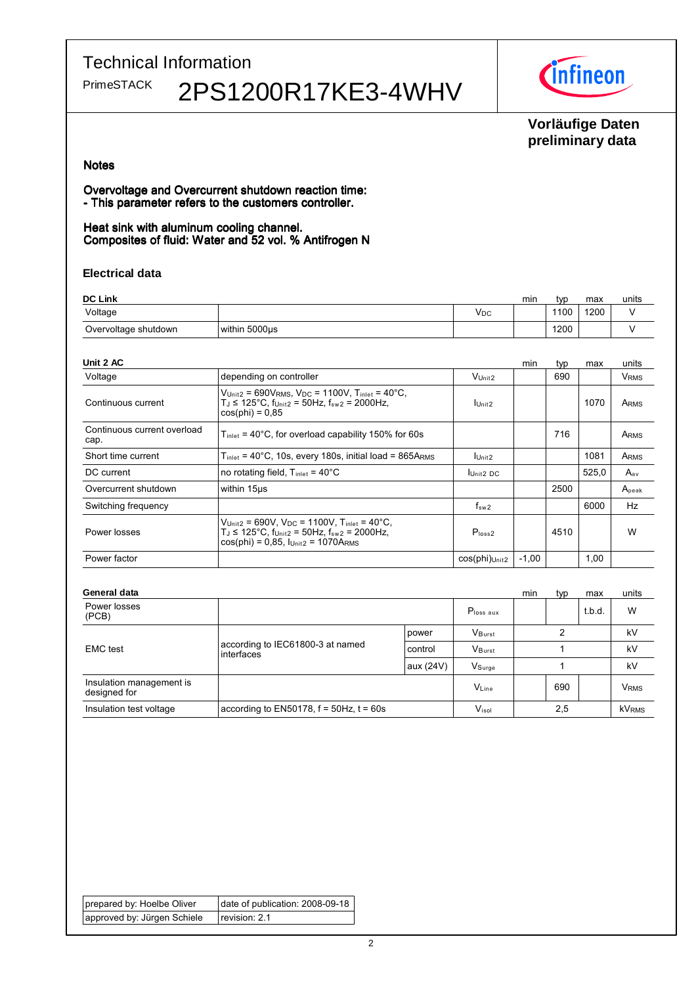

# Vorläufige Daten preliminary data

#### **Notes**

Overvoltage and Overcurrent shutdown reaction time: - This parameter refers to the customers controller.

Heat sink with aluminum cooling channel. Composites of fluid: Water and 52 vol. % Antifrogen N

#### Electrical data

| <b>DC Link</b>       |               | min | tvr | max  | units |  |
|----------------------|---------------|-----|-----|------|-------|--|
| Voltage              |               | Vpc |     | 1100 | 1200  |  |
| Overvoltage shutdown | within 5000us |     |     | 1200 |       |  |

| Unit 2 AC                           |                                                                                                                                                                                                                     |                      | min     | typ  | max   | units                  |
|-------------------------------------|---------------------------------------------------------------------------------------------------------------------------------------------------------------------------------------------------------------------|----------------------|---------|------|-------|------------------------|
| Voltage                             | depending on controller                                                                                                                                                                                             | V <sub>Unit2</sub>   |         | 690  |       | <b>V<sub>RMS</sub></b> |
| Continuous current                  | $V_{\text{Unit2}} = 690V_{\text{RMS}}$ , $V_{\text{DC}} = 1100V$ , $T_{\text{inlet}} = 40^{\circ}\text{C}$ ,<br>$T_J \le 125^{\circ}$ C, f <sub>Unit2</sub> = 50Hz, f <sub>sw2</sub> = 2000Hz,<br>$cos(\pi) = 0.85$ | $I$ Unit2            |         |      | 1070  | ARMS                   |
| Continuous current overload<br>cap. | $T_{\text{inlet}}$ = 40°C, for overload capability 150% for 60s                                                                                                                                                     |                      |         | 716  |       | ARMS                   |
| Short time current                  | $T_{\text{inlet}}$ = 40°C, 10s, every 180s, initial load = 865ARMs                                                                                                                                                  | Unit <sub>2</sub>    |         |      | 1081  | ARMS                   |
| DC current                          | no rotating field, $T_{\text{inlet}} = 40^{\circ}$ C                                                                                                                                                                | Unit <sub>2</sub> DC |         |      | 525,0 | $A_{av}$               |
| Overcurrent shutdown                | within 15us                                                                                                                                                                                                         |                      |         | 2500 |       | Apeak                  |
| Switching frequency                 |                                                                                                                                                                                                                     | $f_{sw2}$            |         |      | 6000  | Hz                     |
| Power losses                        | $V_{Unit2} = 690V$ , $V_{DC} = 1100V$ , $T_{inlet} = 40^{\circ}C$ ,<br>$T_J$ ≤ 125°C, $f_{Unit2}$ = 50Hz, $f_{sw2}$ = 2000Hz,<br>$cos(\pi h) = 0.85$ , $I_{Unit2} = 1070A_{RMS}$                                    | P <sub>loss2</sub>   |         | 4510 |       | W                      |
| Power factor                        |                                                                                                                                                                                                                     | $cos(phi)$ Unit2     | $-1,00$ |      | 1,00  |                        |

| General data                             |                                                 | min       | typ                   | max | units |        |                         |
|------------------------------------------|-------------------------------------------------|-----------|-----------------------|-----|-------|--------|-------------------------|
| Power losses<br>(PCB)                    |                                                 |           | P <sub>loss</sub> aux |     |       | t.b.d. | W                       |
| <b>EMC</b> test                          | according to IEC61800-3 at named<br>interfaces  | power     | VBurst                |     |       |        |                         |
|                                          |                                                 | control   | VBurst                |     |       | kV     |                         |
|                                          |                                                 | aux (24V) | VSurge                |     |       |        | kV                      |
| Insulation management is<br>designed for |                                                 |           | $V_{Line}$            |     | 690   |        | <b>V</b> <sub>RMS</sub> |
| Insulation test voltage                  | according to $EN50178$ , $f = 50Hz$ , $t = 60s$ |           | $V_{\sf isol}$        |     | 2,5   |        | <b>kVRMS</b>            |

| prepared by: Hoelbe Oliver  | date of publication: 2008-09-18 |
|-----------------------------|---------------------------------|
| approved by: Jürgen Schiele | $ $ revision: 2.1               |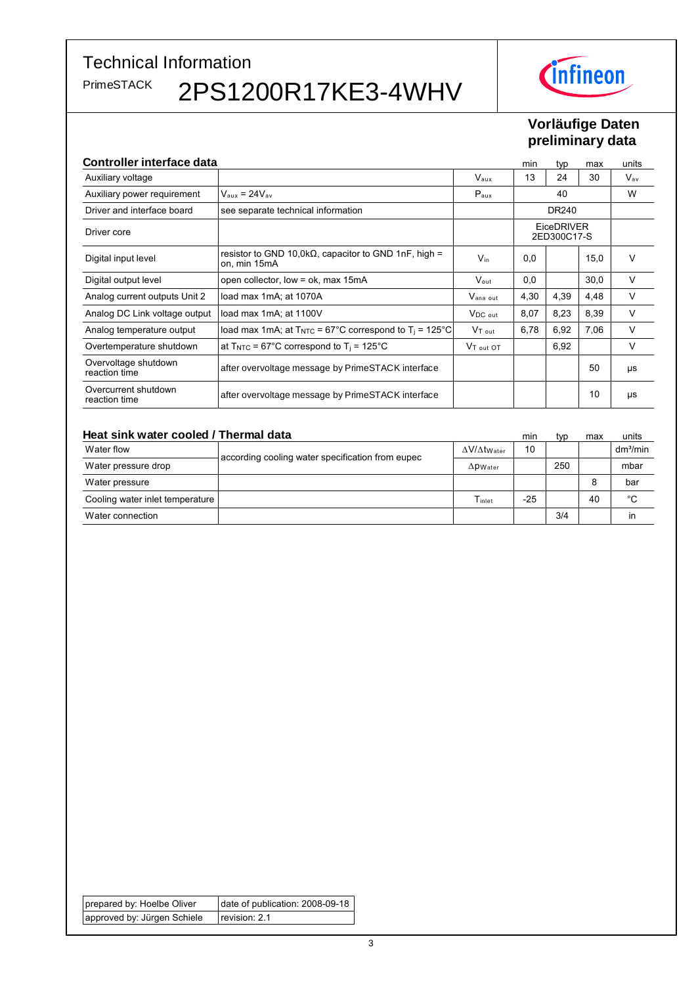

# Vorläufige Daten preliminary data

| <b>Controller interface data</b>      |                                                                               |                      | min                              | typ   | max  | units        |
|---------------------------------------|-------------------------------------------------------------------------------|----------------------|----------------------------------|-------|------|--------------|
| Auxiliary voltage                     |                                                                               | $V_{\text{aux}}$     | 13                               | 24    | 30   | $V_{\sf av}$ |
| Auxiliary power requirement           | $V_{\text{aux}} = 24V_{\text{av}}$                                            | $P_{\text{aux}}$     |                                  | 40    |      | W            |
| Driver and interface board            | see separate technical information                                            |                      |                                  | DR240 |      |              |
| Driver core                           |                                                                               |                      | <b>EiceDRIVER</b><br>2ED300C17-S |       |      |              |
| Digital input level                   | resistor to GND 10,0k $\Omega$ , capacitor to GND 1nF, high =<br>on, min 15mA | $V_{in}$             | 0,0                              |       | 15,0 | $\vee$       |
| Digital output level                  | open collector, low = $ok$ , max 15mA                                         | $V_{\text{out}}$     | 0,0                              |       | 30,0 | V            |
| Analog current outputs Unit 2         | load max 1mA; at 1070A                                                        | $V_{\text{ana out}}$ | 4,30                             | 4,39  | 4,48 | V            |
| Analog DC Link voltage output         | load max 1mA; at 1100V                                                        | $V_{DC\ out}$        | 8,07                             | 8,23  | 8,39 | V            |
| Analog temperature output             | load max 1mA; at $T_{\text{NTC}}$ = 67°C correspond to $T_i$ = 125°C          | V <sub>T out</sub>   | 6,78                             | 6,92  | 7,06 | V            |
| Overtemperature shutdown              | at $T_{\text{NTC}}$ = 67°C correspond to $T_i$ = 125°C                        | $VT_{\text{out}}$ OT |                                  | 6,92  |      | V            |
| Overvoltage shutdown<br>reaction time | after overvoltage message by PrimeSTACK interface                             |                      |                                  |       | 50   | μs           |
| Overcurrent shutdown<br>reaction time | after overvoltage message by PrimeSTACK interface                             |                      |                                  |       | 10   | μs           |

| Heat sink water cooled / Thermal data |                                                  | min                           | tvp   | max | units |                      |
|---------------------------------------|--------------------------------------------------|-------------------------------|-------|-----|-------|----------------------|
| Water flow                            |                                                  | $\Delta V/\Delta t$ Water     | 10    |     |       | dm <sup>3</sup> /min |
| Water pressure drop                   | according cooling water specification from eupec | $\Delta$ <i>PWater</i>        |       | 250 |       | mbar                 |
| Water pressure                        |                                                  |                               |       |     |       | bar                  |
| Cooling water inlet temperature       |                                                  | $\mathsf{T}_{\mathsf{inlet}}$ | $-25$ |     | 40    | °C                   |
| Water connection                      |                                                  |                               |       | 3/4 |       | in                   |

| prepared by: Hoelbe Oliver  | date of publication: 2008-09-18 |
|-----------------------------|---------------------------------|
| approved by: Jürgen Schiele | $ $ revision: 2.1               |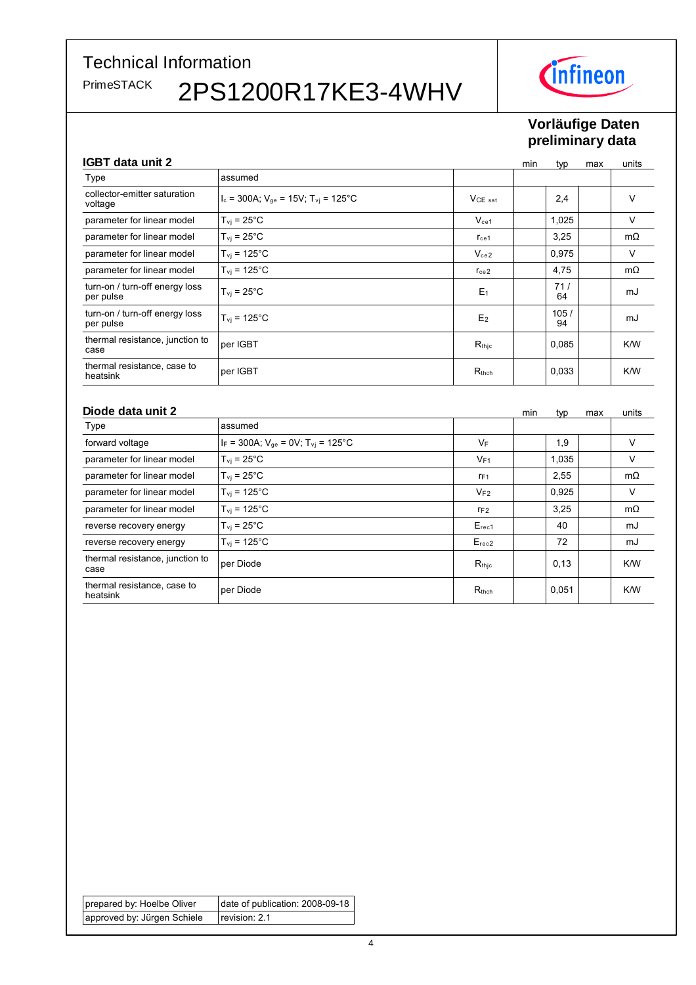

# Vorläufige Daten preliminary data

## CRT data unit 2

| IUD I Udid UNII 4                           |                                                         | mın               | typ | max        | units |           |
|---------------------------------------------|---------------------------------------------------------|-------------------|-----|------------|-------|-----------|
| Type                                        | assumed                                                 |                   |     |            |       |           |
| collector-emitter saturation<br>voltage     | $I_c = 300A$ ; $V_{qe} = 15V$ ; $T_{vi} = 125^{\circ}C$ | $VCE$ sat         |     | 2,4        |       | v         |
| parameter for linear model                  | $T_{\rm vj}$ = 25°C                                     | $V_{ce1}$         |     | 1,025      |       | V         |
| parameter for linear model                  | $T_{\rm vi}$ = 25 $^{\circ}$ C                          | $r_{ce1}$         |     | 3,25       |       | $m\Omega$ |
| parameter for linear model                  | $T_{\rm vi}$ = 125°C                                    | $V_{ce2}$         |     | 0,975      |       | V         |
| parameter for linear model                  | $T_{\rm vi}$ = 125°C                                    | $r_{ce2}$         |     | 4,75       |       | $m\Omega$ |
| turn-on / turn-off energy loss<br>per pulse | $T_{\rm vj}$ = 25°C                                     | E <sub>1</sub>    |     | 71/<br>64  |       | mJ        |
| turn-on / turn-off energy loss<br>per pulse | $T_{\rm vi}$ = 125°C                                    | E <sub>2</sub>    |     | 105/<br>94 |       | mJ        |
| thermal resistance, junction to<br>case     | per IGBT                                                | $R_{\text{thic}}$ |     | 0,085      |       | K/W       |
| thermal resistance, case to<br>heatsink     | per IGBT                                                | $R_{thch}$        |     | 0,033      |       | K/W       |

#### Diode data unit 2

| Diode data unit 2                       |                                                        | min                        | typ | max   | units |           |
|-----------------------------------------|--------------------------------------------------------|----------------------------|-----|-------|-------|-----------|
| Type                                    | assumed                                                |                            |     |       |       |           |
| forward voltage                         | $I_F = 300A$ ; $V_{qe} = 0V$ ; $T_{vi} = 125^{\circ}C$ | VF                         |     | 1,9   |       | V         |
| parameter for linear model              | $T_{\rm vi}$ = 25 $^{\circ}$ C                         | $V_{F1}$                   |     | 1,035 |       | V         |
| parameter for linear model              | $T_{\rm vi}$ = 25 $^{\circ}$ C                         | $r_{F1}$                   |     | 2,55  |       | $m\Omega$ |
| parameter for linear model              | $T_{\rm vi}$ = 125°C                                   | $V_{F2}$                   |     | 0,925 |       | V         |
| parameter for linear model              | $T_{\rm vi}$ = 125°C                                   | $\mathsf{r}_{\mathsf{F2}}$ |     | 3,25  |       | $m\Omega$ |
| reverse recovery energy                 | $T_{\rm vi}$ = 25 $^{\circ}$ C                         | $E_{rec1}$                 |     | 40    |       | mJ        |
| reverse recovery energy                 | $T_{\rm vi}$ = 125°C                                   | $E_{rec2}$                 |     | 72    |       | mJ        |
| thermal resistance, junction to<br>case | per Diode                                              | $R_{\text{thic}}$          |     | 0,13  |       | K/W       |
| thermal resistance, case to<br>heatsink | per Diode                                              | $R_{thch}$                 |     | 0,051 |       | K/W       |

| prepared by: Hoelbe Oliver  | date of publication: 2008-09-18 |
|-----------------------------|---------------------------------|
| approved by: Jürgen Schiele | revision: 2.1                   |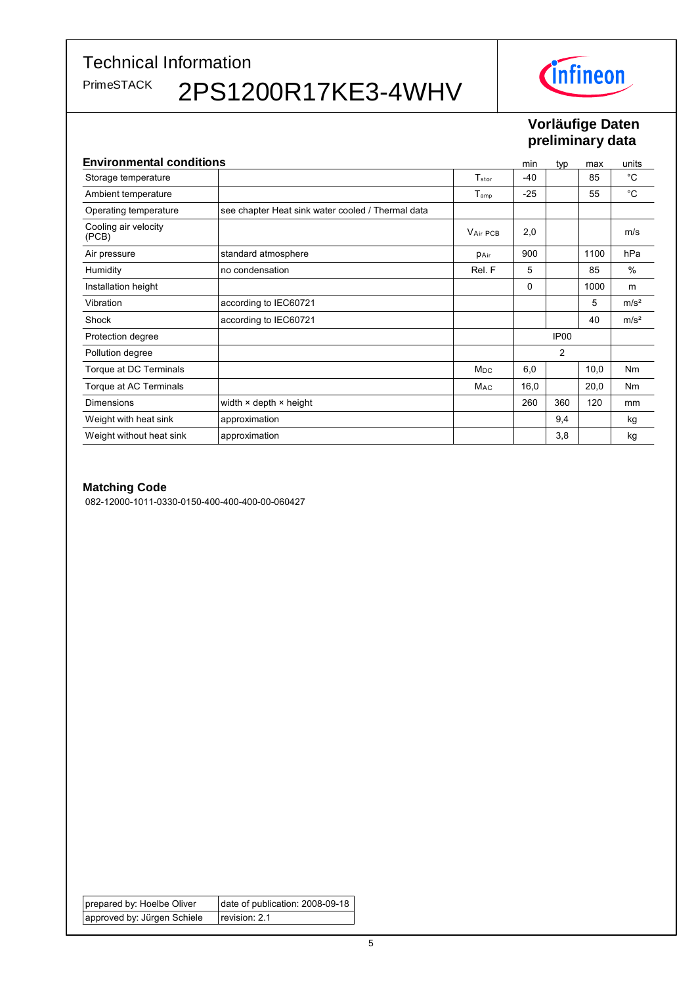**Technical Information** 

PrimeSTACK

2PS1200R17KE3-4WHV



# Vorläufige Daten preliminary data

| <b>Environmental conditions</b> |                                                   |                              | min   | typ              | max  | units            |
|---------------------------------|---------------------------------------------------|------------------------------|-------|------------------|------|------------------|
| Storage temperature             |                                                   | $\mathsf{T}_{\mathsf{stor}}$ | -40   |                  | 85   | $^{\circ}C$      |
| Ambient temperature             |                                                   | $T_{amp}$                    | $-25$ |                  | 55   | $^{\circ}C$      |
| Operating temperature           | see chapter Heat sink water cooled / Thermal data |                              |       |                  |      |                  |
| Cooling air velocity<br>(PCB)   |                                                   | VAir PCB                     | 2,0   |                  |      | m/s              |
| Air pressure                    | standard atmosphere                               | <b>PAir</b>                  | 900   |                  | 1100 | hPa              |
| Humidity                        | no condensation                                   | Rel. F                       | 5     |                  | 85   | $\%$             |
| Installation height             |                                                   |                              | 0     |                  | 1000 | m                |
| Vibration                       | according to IEC60721                             |                              |       |                  | 5    | m/s <sup>2</sup> |
| Shock                           | according to IEC60721                             |                              |       |                  | 40   | m/s <sup>2</sup> |
| Protection degree               |                                                   |                              |       | IP <sub>00</sub> |      |                  |
| Pollution degree                |                                                   |                              |       | $\overline{2}$   |      |                  |
| Torque at DC Terminals          |                                                   | <b>M<sub>DC</sub></b>        | 6,0   |                  | 10,0 | <b>Nm</b>        |
| Torque at AC Terminals          |                                                   | M <sub>AC</sub>              | 16,0  |                  | 20,0 | <b>Nm</b>        |
| Dimensions                      | width $\times$ depth $\times$ height              |                              | 260   | 360              | 120  | mm               |
| Weight with heat sink           | approximation                                     |                              |       | 9,4              |      | kg               |
| Weight without heat sink        | approximation                                     |                              |       | 3,8              |      | kg               |

#### **Matching Code**

082-12000-1011-0330-0150-400-400-400-00-060427

prepared by: Hoelbe Oliver date of publication: 2008-09-18 approved by: Jürgen Schiele  $reciation: 2.1$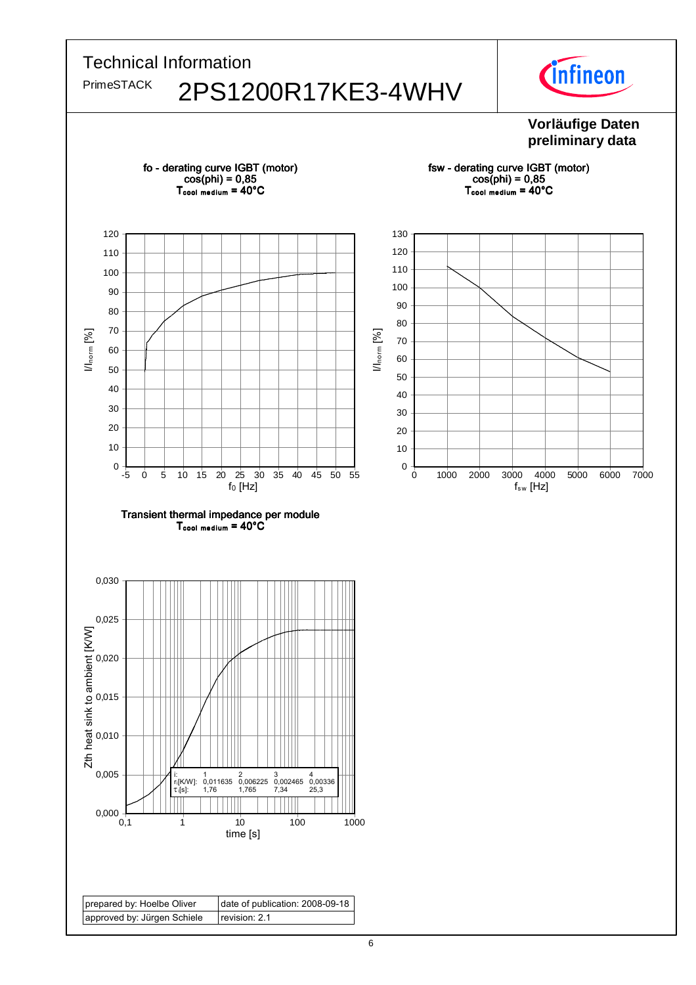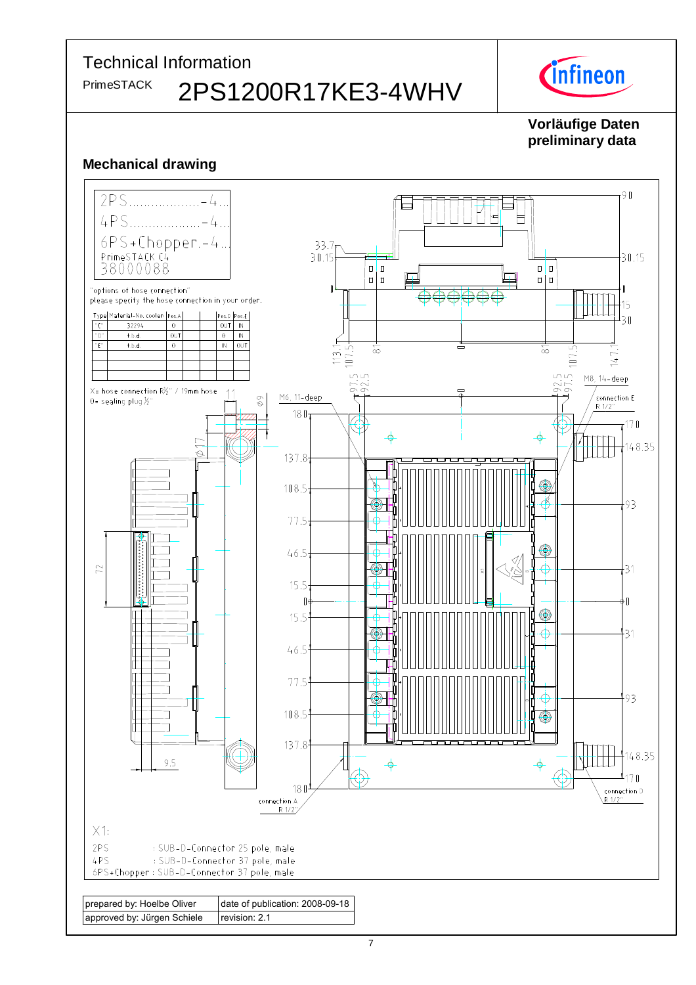

# Vorläufige Daten preliminary data

# **Mechanical drawing**

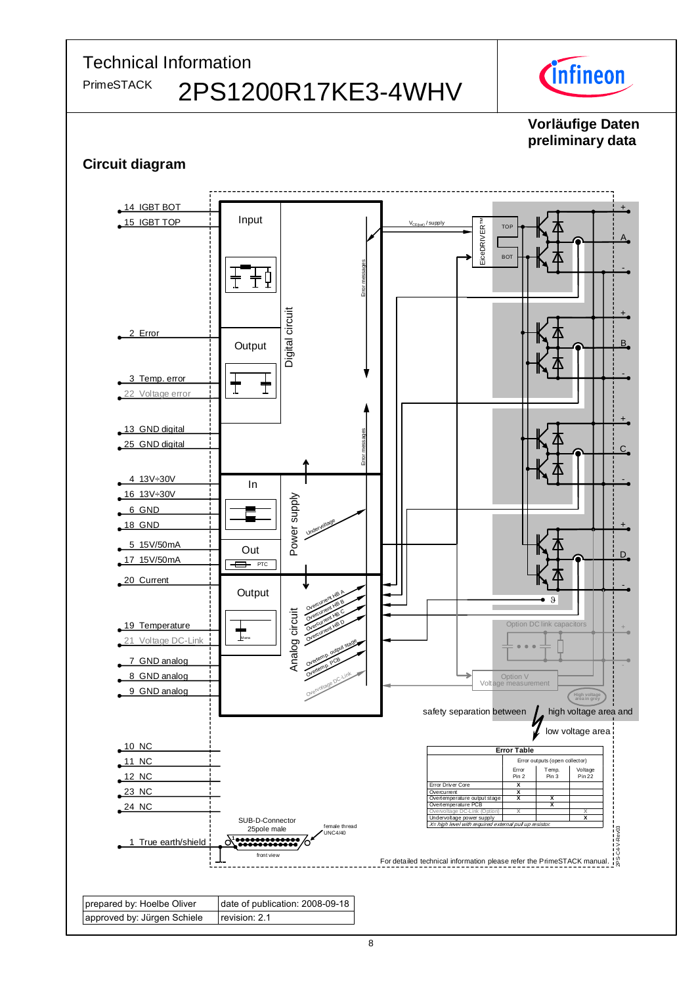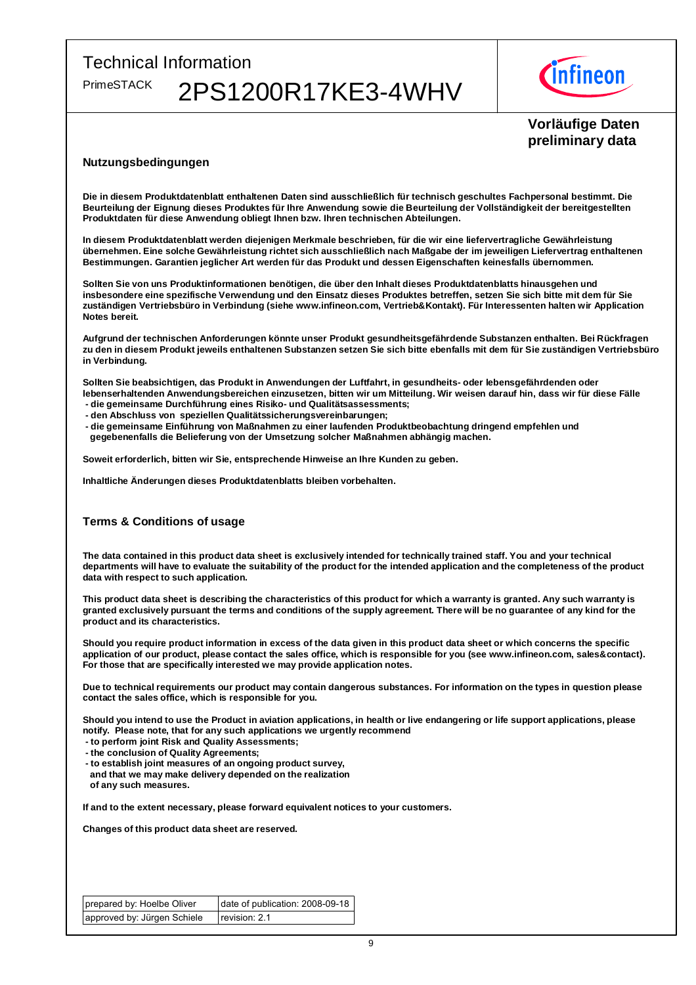

## Vorläufige Daten preliminary data

#### Nutzungsbedingungen

Die in diesem Produktdatenblatt enthaltenen Daten sind ausschließlich für technisch geschultes Fachpersonal bestimmt. Die Beurteilung der Eignung dieses Produktes für Ihre Anwendung sowie die Beurteilung der Vollständigkeit der bereitgestellten Produktdaten für diese Anwendung obliegt Ihnen bzw. Ihren technischen Abteilungen.

In diesem Produktdatenblatt werden diejenigen Merkmale beschrieben, für die wir eine liefervertragliche Gewährleistung übernehmen. Eine solche Gewährleistung richtet sich ausschließlich nach Maßgabe der im jeweiligen Liefervertrag enthaltenen Bestimmungen. Garantien jeglicher Art werden für das Produkt und dessen Eigenschaften keinesfalls übernommen.

Sollten Sie von uns Produktinformationen benötigen, die über den Inhalt dieses Produktdatenblatts hinausgehen und insbesondere eine spezifische Verwendung und den Einsatz dieses Produktes betreffen, setzen Sie sich bitte mit dem für Sie zuständigen Vertriebsbüro in Verbindung (siehe www.infineon.com, Vertrieb&Kontakt). Für Interessenten halten wir Application Notes bereit.

Aufgrund der technischen Anforderungen könnte unser Produkt gesundheitsgefährdende Substanzen enthalten. Bei Rückfragen zu den in diesem Produkt jeweils enthaltenen Substanzen setzen Sie sich bitte ebenfalls mit dem für Sie zuständigen Vertriebsbüro in Verbindung.

Sollten Sie beabsichtigen, das Produkt in Anwendungen der Luftfahrt, in gesundheits- oder lebensgefährdenden oder lebenserhaltenden Anwendungsbereichen einzusetzen, bitten wir um Mitteilung. Wir weisen darauf hin, dass wir für diese Fälle

- die gemeinsame Durchführung eines Risiko- und Qualitätsassessments;
- den Abschluss von speziellen Qualitätssicherungsvereinbarungen;
- die gemeinsame Einführung von Maßnahmen zu einer laufenden Produktbeobachtung dringend empfehlen und gegebenenfalls die Belieferung von der Umsetzung solcher Maßnahmen abhängig machen.

Soweit erforderlich, bitten wir Sie, entsprechende Hinweise an Ihre Kunden zu geben.

Inhaltliche Änderungen dieses Produktdatenblatts bleiben vorbehalten.

#### Terms & Conditions of usage

The data contained in this product data sheet is exclusively intended for technically trained staff. You and your technical departments will have to evaluate the suitability of the product for the intended application and the completeness of the product data with respect to such application.

This product data sheet is describing the characteristics of this product for which a warranty is granted. Any such warranty is granted exclusively pursuant the terms and conditions of the supply agreement. There will be no guarantee of any kind for the product and its characteristics.

Should you require product information in excess of the data given in this product data sheet or which concerns the specific application of our product, please contact the sales office, which is responsible for you (see www.infineon.com, sales&contact). For those that are specifically interested we may provide application notes.

Due to technical requirements our product may contain dangerous substances. For information on the types in question please contact the sales office, which is responsible for you.

Should you intend to use the Product in aviation applications, in health or live endangering or life support applications, please notify. Please note, that for any such applications we urgently recommend

- to perform joint Risk and Quality Assessments;
- the conclusion of Quality Agreements;
- to establish joint measures of an ongoing product survey,
- and that we may make delivery depended on the realization of any such measures.

If and to the extent necessary, please forward equivalent notices to your customers.

Changes of this product data sheet are reserved.

prepared by: Hoelbe Oliver approved by: Jürgen Schiele date of publication: 2008-09-18 revision: 2.1